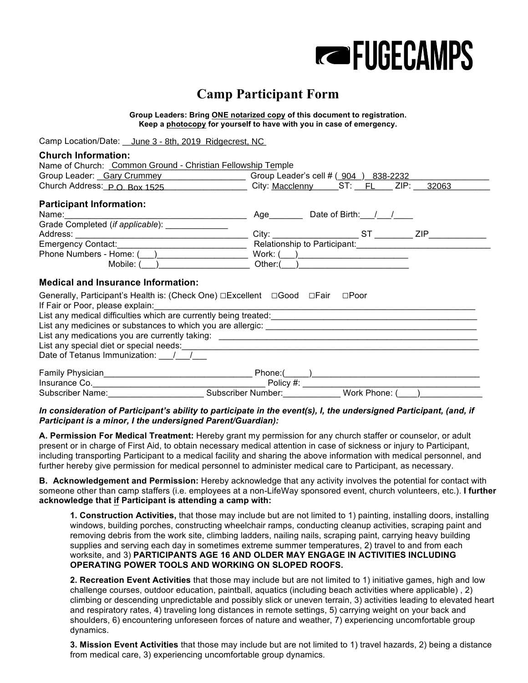

## **Camp Participant Form**

**Group Leaders: Bring ONE notarized copy of this document to registration. Keep a photocopy for yourself to have with you in case of emergency.** 

Camp Location/Date: June 3 - 8th, 2019 Ridgecrest, NC

| <b>Church Information:</b>                                                                                                                   |  |                                                                                                                        |  |  |  |
|----------------------------------------------------------------------------------------------------------------------------------------------|--|------------------------------------------------------------------------------------------------------------------------|--|--|--|
| Name of Church: Common Ground - Christian Fellowship Temple                                                                                  |  |                                                                                                                        |  |  |  |
|                                                                                                                                              |  | Group Leader: Gary Crummey Group Leader's cell # (904) 838-2232                                                        |  |  |  |
| Church Address: $P \cap Box 1525$ City: Macclenny ST: FL ZIP: 32063                                                                          |  |                                                                                                                        |  |  |  |
| <b>Participant Information:</b>                                                                                                              |  |                                                                                                                        |  |  |  |
|                                                                                                                                              |  | Date of Birth: / /<br>Age                                                                                              |  |  |  |
| Grade Completed (if applicable):                                                                                                             |  |                                                                                                                        |  |  |  |
|                                                                                                                                              |  |                                                                                                                        |  |  |  |
|                                                                                                                                              |  |                                                                                                                        |  |  |  |
| Phone Numbers - Home: ( )                                                                                                                    |  |                                                                                                                        |  |  |  |
| Mobile: ()                                                                                                                                   |  | $Other(\_\_)$                                                                                                          |  |  |  |
| <b>Medical and Insurance Information:</b>                                                                                                    |  |                                                                                                                        |  |  |  |
| Generally, Participant's Health is: (Check One) □ Excellent □ Good □ Fair                                                                    |  | $\square$ Poor                                                                                                         |  |  |  |
| If Fair or Poor, please explain:                                                                                                             |  | <u> 1989 - Johann John Stein, markin fan de Amerikaansk kommunenter oan de Amerikaansk kommunenten fan de Amerikaa</u> |  |  |  |
|                                                                                                                                              |  |                                                                                                                        |  |  |  |
|                                                                                                                                              |  |                                                                                                                        |  |  |  |
|                                                                                                                                              |  |                                                                                                                        |  |  |  |
| List any special diet or special needs: entertainment of the state of the special diet or special diet or special needs:                     |  |                                                                                                                        |  |  |  |
| Date of Tetanus Immunization: / /                                                                                                            |  |                                                                                                                        |  |  |  |
|                                                                                                                                              |  |                                                                                                                        |  |  |  |
|                                                                                                                                              |  |                                                                                                                        |  |  |  |
| Insurance Co.<br>Subscriber Name: Subscriber Number: Work Phone: (Call The Subscriber Number: Work Phone: (Call The Subscriber Number: 2014) |  |                                                                                                                        |  |  |  |

*In consideration of Participant's ability to participate in the event(s), I, the undersigned Participant, (and, if Participant is a minor, I the undersigned Parent/Guardian):*

**A. Permission For Medical Treatment:** Hereby grant my permission for any church staffer or counselor, or adult present or in charge of First Aid, to obtain necessary medical attention in case of sickness or injury to Participant, including transporting Participant to a medical facility and sharing the above information with medical personnel, and further hereby give permission for medical personnel to administer medical care to Participant, as necessary.

**B. Acknowledgement and Permission:** Hereby acknowledge that any activity involves the potential for contact with someone other than camp staffers (i.e. employees at a non-LifeWay sponsored event, church volunteers, etc.). **I further acknowledge that if Participant is attending a camp with:**

**1. Construction Activities,** that those may include but are not limited to 1) painting, installing doors, installing windows, building porches, constructing wheelchair ramps, conducting cleanup activities, scraping paint and removing debris from the work site, climbing ladders, nailing nails, scraping paint, carrying heavy building supplies and serving each day in sometimes extreme summer temperatures, 2) travel to and from each worksite, and 3) **PARTICIPANTS AGE 16 AND OLDER MAY ENGAGE IN ACTIVITIES INCLUDING OPERATING POWER TOOLS AND WORKING ON SLOPED ROOFS.**

**2. Recreation Event Activities** that those may include but are not limited to 1) initiative games, high and low challenge courses, outdoor education, paintball, aquatics (including beach activities where applicable) , 2) climbing or descending unpredictable and possibly slick or uneven terrain, 3) activities leading to elevated heart and respiratory rates, 4) traveling long distances in remote settings, 5) carrying weight on your back and shoulders, 6) encountering unforeseen forces of nature and weather, 7) experiencing uncomfortable group dynamics.

**3. Mission Event Activities** that those may include but are not limited to 1) travel hazards, 2) being a distance from medical care, 3) experiencing uncomfortable group dynamics.